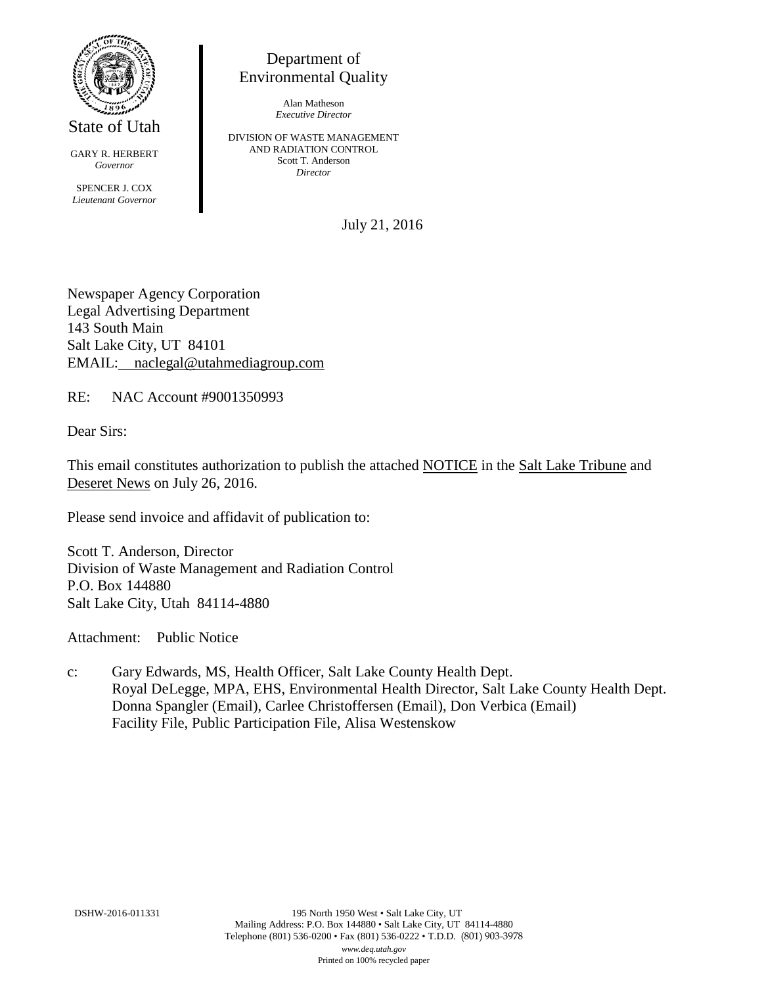

State of Utah

GARY R. HERBERT *Governor* SPENCER J. COX *Lieutenant Governor*

Department of Environmental Quality

> Alan Matheson *Executive Director*

DIVISION OF WASTE MANAGEMENT AND RADIATION CONTROL Scott T. Anderson *Director*

July 21, 2016

Newspaper Agency Corporation Legal Advertising Department 143 South Main Salt Lake City, UT 84101 EMAIL: naclegal@utahmediagroup.com

RE: NAC Account #9001350993

Dear Sirs:

This email constitutes authorization to publish the attached NOTICE in the Salt Lake Tribune and Deseret News on July 26, 2016.

Please send invoice and affidavit of publication to:

Scott T. Anderson, Director Division of Waste Management and Radiation Control P.O. Box 144880 Salt Lake City, Utah 84114-4880

Attachment: Public Notice

c: Gary Edwards, MS, Health Officer, Salt Lake County Health Dept. Royal DeLegge, MPA, EHS, Environmental Health Director, Salt Lake County Health Dept. Donna Spangler (Email), Carlee Christoffersen (Email), Don Verbica (Email) Facility File, Public Participation File, Alisa Westenskow